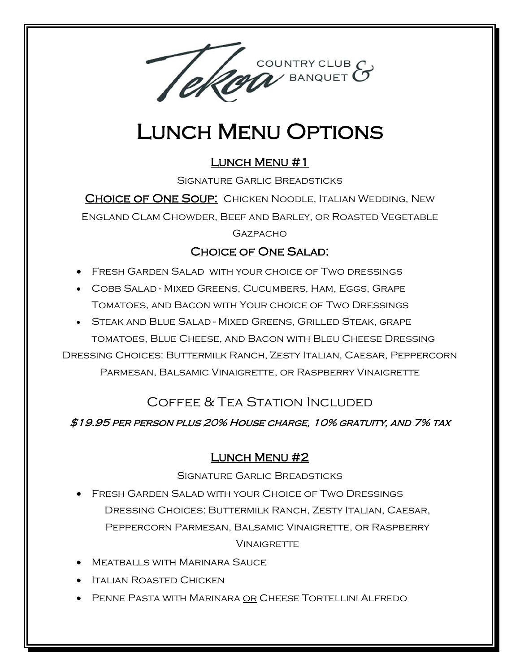

# Lunch Menu Options

### LUNCH MENU #1

Signature Garlic Breadsticks

CHOICE OF ONE SOUP: CHICKEN NOODLE, ITALIAN WEDDING, NEW

England Clam Chowder, Beef and Barley, or Roasted Vegetable

#### **GAZPACHO**

#### Choice of One Salad:

- Fresh Garden Salad with your choice of Two dressings
- Cobb Salad Mixed Greens, Cucumbers, Ham, Eggs, Grape Tomatoes, and Bacon with Your choice of Two Dressings
- Steak and Blue Salad Mixed Greens, Grilled Steak, grape tomatoes, Blue Cheese, and Bacon with Bleu Cheese Dressing

Dressing Choices: Buttermilk Ranch, Zesty Italian, Caesar, Peppercorn Parmesan, Balsamic Vinaigrette, or Raspberry Vinaigrette

## Coffee & Tea Station Included

#### \$19.95 per person plus 20% House charge, 10% gratuity, and 7% tax

#### Lunch Menu #2

Signature Garlic Breadsticks

- Fresh Garden Salad with your Choice of Two Dressings Dressing Choices: Buttermilk Ranch, Zesty Italian, Caesar, Peppercorn Parmesan, Balsamic Vinaigrette, or Raspberry **VINAIGRETTE**
- Meatballs with Marinara Sauce
- Italian Roasted Chicken
- Penne Pasta with Marinara or Cheese Tortellini Alfredo